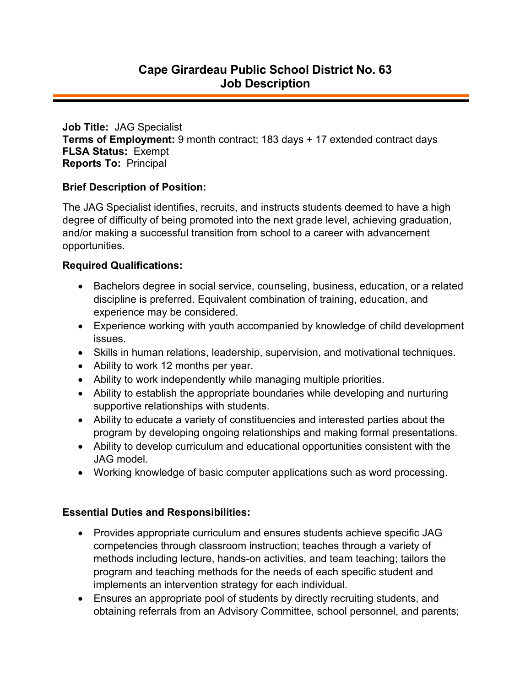**Job Title:** JAG Specialist **Terms of Employment:** 9 month contract; 183 days + 17 extended contract days **FLSA Status:** Exempt **Reports To:** Principal

## **Brief Description of Position:**

The JAG Specialist identifies, recruits, and instructs students deemed to have a high degree of difficulty of being promoted into the next grade level, achieving graduation, and/or making a successful transition from school to a career with advancement opportunities.

## **Required Qualifications:**

- Bachelors degree in social service, counseling, business, education, or a related discipline is preferred. Equivalent combination of training, education, and experience may be considered.
- Experience working with youth accompanied by knowledge of child development issues.
- Skills in human relations, leadership, supervision, and motivational techniques.
- Ability to work 12 months per year.
- Ability to work independently while managing multiple priorities.
- Ability to establish the appropriate boundaries while developing and nurturing supportive relationships with students.
- Ability to educate a variety of constituencies and interested parties about the program by developing ongoing relationships and making formal presentations.
- Ability to develop curriculum and educational opportunities consistent with the JAG model.
- Working knowledge of basic computer applications such as word processing.

## **Essential Duties and Responsibilities:**

- Provides appropriate curriculum and ensures students achieve specific JAG competencies through classroom instruction; teaches through a variety of methods including lecture, hands-on activities, and team teaching; tailors the program and teaching methods for the needs of each specific student and implements an intervention strategy for each individual.
- Ensures an appropriate pool of students by directly recruiting students, and obtaining referrals from an Advisory Committee, school personnel, and parents;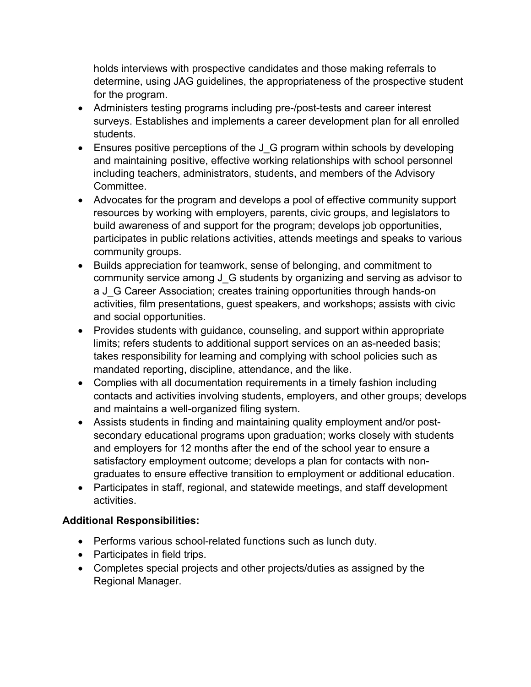holds interviews with prospective candidates and those making referrals to determine, using JAG guidelines, the appropriateness of the prospective student for the program.

- Administers testing programs including pre-/post-tests and career interest surveys. Establishes and implements a career development plan for all enrolled students.
- Ensures positive perceptions of the J G program within schools by developing and maintaining positive, effective working relationships with school personnel including teachers, administrators, students, and members of the Advisory Committee.
- Advocates for the program and develops a pool of effective community support resources by working with employers, parents, civic groups, and legislators to build awareness of and support for the program; develops job opportunities, participates in public relations activities, attends meetings and speaks to various community groups.
- Builds appreciation for teamwork, sense of belonging, and commitment to community service among J\_G students by organizing and serving as advisor to a J\_G Career Association; creates training opportunities through hands-on activities, film presentations, guest speakers, and workshops; assists with civic and social opportunities.
- Provides students with guidance, counseling, and support within appropriate limits; refers students to additional support services on an as-needed basis; takes responsibility for learning and complying with school policies such as mandated reporting, discipline, attendance, and the like.
- Complies with all documentation requirements in a timely fashion including contacts and activities involving students, employers, and other groups; develops and maintains a well-organized filing system.
- Assists students in finding and maintaining quality employment and/or postsecondary educational programs upon graduation; works closely with students and employers for 12 months after the end of the school year to ensure a satisfactory employment outcome; develops a plan for contacts with nongraduates to ensure effective transition to employment or additional education.
- Participates in staff, regional, and statewide meetings, and staff development activities.

## **Additional Responsibilities:**

- Performs various school-related functions such as lunch duty.
- Participates in field trips.
- Completes special projects and other projects/duties as assigned by the Regional Manager.